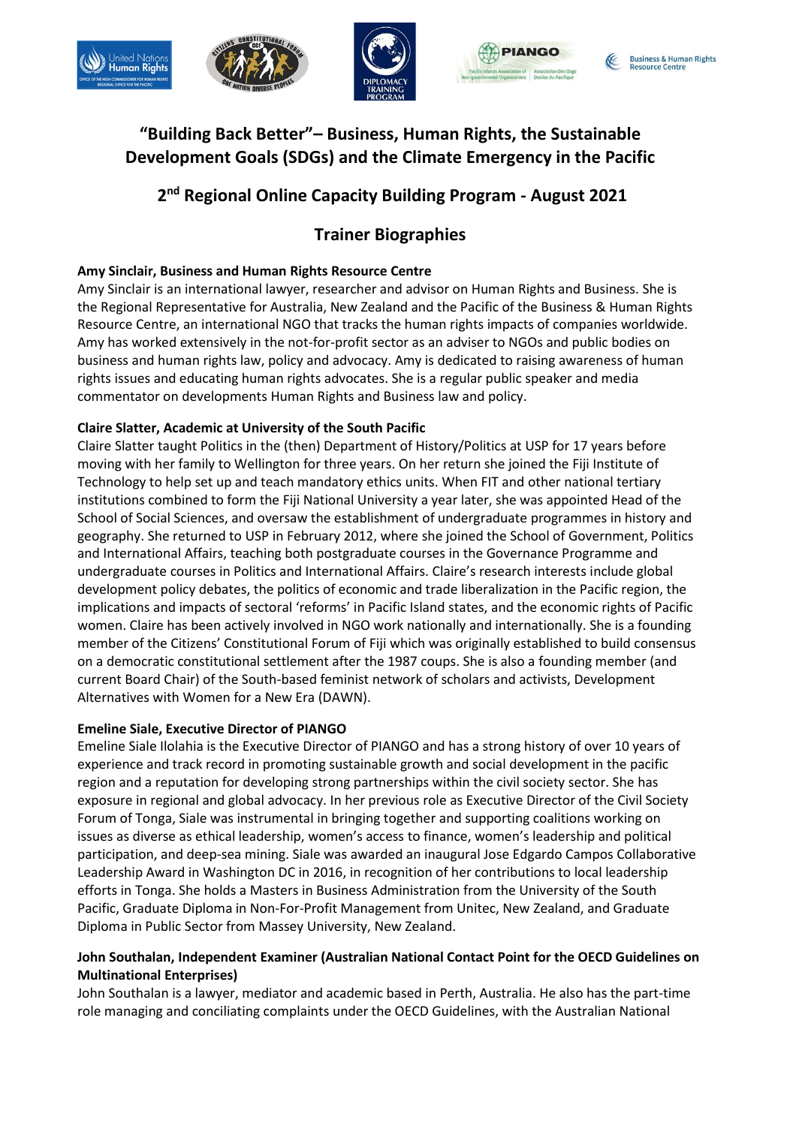







## **"Building Back Better"– Business, Human Rights, the Sustainable Development Goals (SDGs) and the Climate Emergency in the Pacific**

# **2 nd Regional Online Capacity Building Program - August 2021**

## **Trainer Biographies**

## **Amy Sinclair, Business and Human Rights Resource Centre**

Amy Sinclair is an international lawyer, researcher and advisor on Human Rights and Business. She is the Regional Representative for Australia, New Zealand and the Pacific of the Business & Human Rights Resource Centre, an international NGO that tracks the human rights impacts of companies worldwide. Amy has worked extensively in the not-for-profit sector as an adviser to NGOs and public bodies on business and human rights law, policy and advocacy. Amy is dedicated to raising awareness of human rights issues and educating human rights advocates. She is a regular public speaker and media commentator on developments Human Rights and Business law and policy.

## **Claire Slatter, Academic at University of the South Pacific**

Claire Slatter taught Politics in the (then) Department of History/Politics at USP for 17 years before moving with her family to Wellington for three years. On her return she joined the Fiji Institute of Technology to help set up and teach mandatory ethics units. When FIT and other national tertiary institutions combined to form the Fiji National University a year later, she was appointed Head of the School of Social Sciences, and oversaw the establishment of undergraduate programmes in history and geography. She returned to USP in February 2012, where she joined the School of Government, Politics and International Affairs, teaching both postgraduate courses in the Governance Programme and undergraduate courses in Politics and International Affairs. Claire's research interests include global development policy debates, the politics of economic and trade liberalization in the Pacific region, the implications and impacts of sectoral 'reforms' in Pacific Island states, and the economic rights of Pacific women. Claire has been actively involved in NGO work nationally and internationally. She is a founding member of the Citizens' Constitutional Forum of Fiji which was originally established to build consensus on a democratic constitutional settlement after the 1987 coups. She is also a founding member (and current Board Chair) of the South-based feminist network of scholars and activists, Development Alternatives with Women for a New Era (DAWN).

### **Emeline Siale, Executive Director of PIANGO**

Emeline Siale Ilolahia is the Executive Director of PIANGO and has a strong history of over 10 years of experience and track record in promoting sustainable growth and social development in the pacific region and a reputation for developing strong partnerships within the civil society sector. She has exposure in regional and global advocacy. In her previous role as Executive Director of the Civil Society Forum of Tonga, Siale was instrumental in bringing together and supporting coalitions working on issues as diverse as ethical leadership, women's access to finance, women's leadership and political participation, and deep-sea mining. Siale was awarded an inaugural Jose Edgardo Campos Collaborative Leadership Award in Washington DC in 2016, in recognition of her contributions to local leadership efforts in Tonga. She holds a Masters in Business Administration from the University of the South Pacific, Graduate Diploma in Non-For-Profit Management from Unitec, New Zealand, and Graduate Diploma in Public Sector from Massey University, New Zealand.

### **John Southalan, Independent Examiner (Australian National Contact Point for the OECD Guidelines on Multinational Enterprises)**

John Southalan is a lawyer, mediator and academic based in Perth, Australia. He also has the part-time role managing and conciliating complaints under the OECD Guidelines, with the Australian National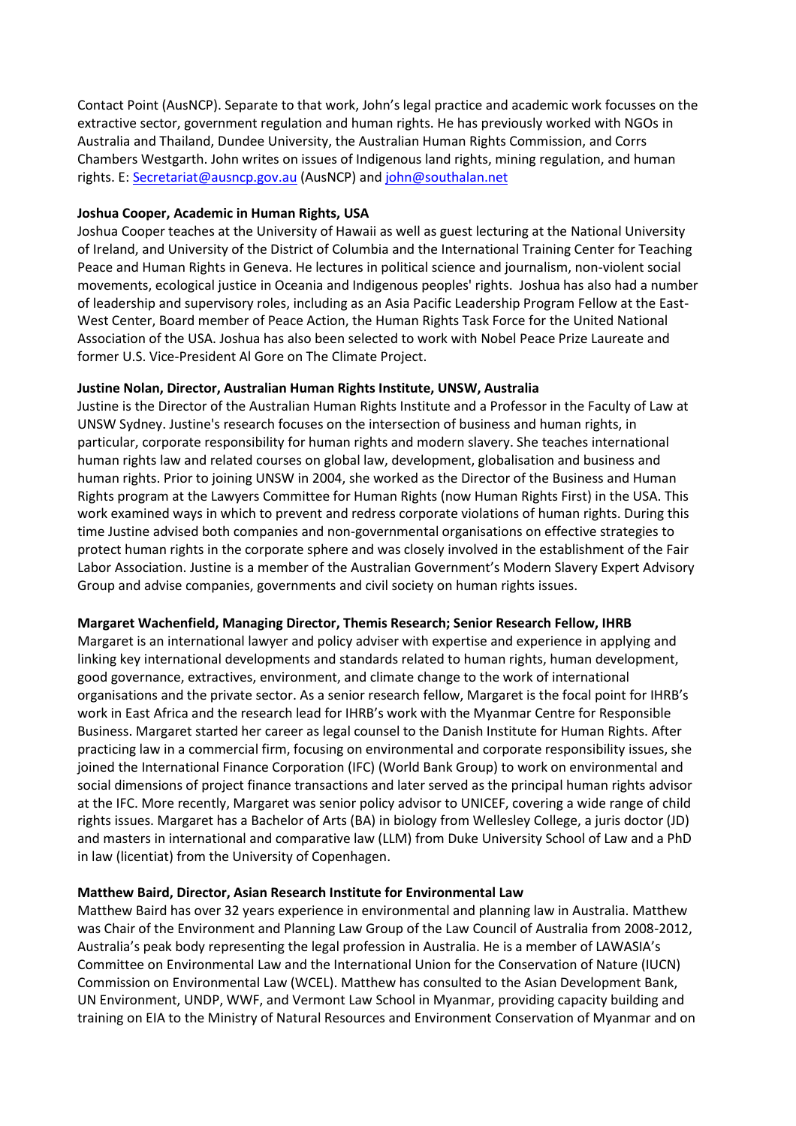Contact Point (AusNCP). Separate to that work, John's legal practice and academic work focusses on the extractive sector, government regulation and human rights. He has previously worked with NGOs in Australia and Thailand, Dundee University, the Australian Human Rights Commission, and Corrs Chambers Westgarth. John writes on issues of Indigenous land rights, mining regulation, and human rights. E: [Secretariat@ausncp.gov.au](mailto:Secretariat@ausncp.gov.au) (AusNCP) and [john@southalan.net](mailto:john@southalan.net)

#### **Joshua Cooper, Academic in Human Rights, USA**

Joshua Cooper teaches at the University of Hawaii as well as guest lecturing at the National University of Ireland, and University of the District of Columbia and the International Training Center for Teaching Peace and Human Rights in Geneva. He lectures in political science and journalism, non-violent social movements, ecological justice in Oceania and Indigenous peoples' rights. Joshua has also had a number of leadership and supervisory roles, including as an Asia Pacific Leadership Program Fellow at the East-West Center, Board member of Peace Action, the Human Rights Task Force for the United National Association of the USA. Joshua has also been selected to work with Nobel Peace Prize Laureate and former U.S. Vice-President Al Gore on The Climate Project.

#### **Justine Nolan, Director, Australian Human Rights Institute, UNSW, Australia**

Justine is the Director of the Australian Human Rights Institute and a Professor in the Faculty of Law at UNSW Sydney. Justine's research focuses on the intersection of business and human rights, in particular, corporate responsibility for human rights and modern slavery. She teaches international human rights law and related courses on global law, development, globalisation and business and human rights. Prior to joining UNSW in 2004, she worked as the Director of the Business and Human Rights program at the Lawyers Committee for Human Rights (now Human Rights First) in the USA. This work examined ways in which to prevent and redress corporate violations of human rights. During this time Justine advised both companies and non-governmental organisations on effective strategies to protect human rights in the corporate sphere and was closely involved in the establishment of the Fair Labor Association. Justine is a member of the Australian Government's Modern Slavery Expert Advisory Group and advise companies, governments and civil society on human rights issues.

#### **Margaret Wachenfield, Managing Director, Themis Research; Senior Research Fellow, IHRB**

Margaret is an international lawyer and policy adviser with expertise and experience in applying and linking key international developments and standards related to human rights, human development, good governance, extractives, environment, and climate change to the work of international organisations and the private sector. As a senior research fellow, Margaret is the focal point for IHRB's work in East Africa and the research lead for IHRB's work with the Myanmar Centre for Responsible Business. Margaret started her career as legal counsel to the Danish Institute for Human Rights. After practicing law in a commercial firm, focusing on environmental and corporate responsibility issues, she joined the International Finance Corporation (IFC) (World Bank Group) to work on environmental and social dimensions of project finance transactions and later served as the principal human rights advisor at the IFC. More recently, Margaret was senior policy advisor to UNICEF, covering a wide range of child rights issues. Margaret has a Bachelor of Arts (BA) in biology from Wellesley College, a juris doctor (JD) and masters in international and comparative law (LLM) from Duke University School of Law and a PhD in law (licentiat) from the University of Copenhagen.

#### **Matthew Baird, Director, Asian Research Institute for Environmental Law**

Matthew Baird has over 32 years experience in environmental and planning law in Australia. Matthew was Chair of the Environment and Planning Law Group of the Law Council of Australia from 2008-2012, Australia's peak body representing the legal profession in Australia. He is a member of LAWASIA's Committee on Environmental Law and the International Union for the Conservation of Nature (IUCN) Commission on Environmental Law (WCEL). Matthew has consulted to the Asian Development Bank, UN Environment, UNDP, WWF, and Vermont Law School in Myanmar, providing capacity building and training on EIA to the Ministry of Natural Resources and Environment Conservation of Myanmar and on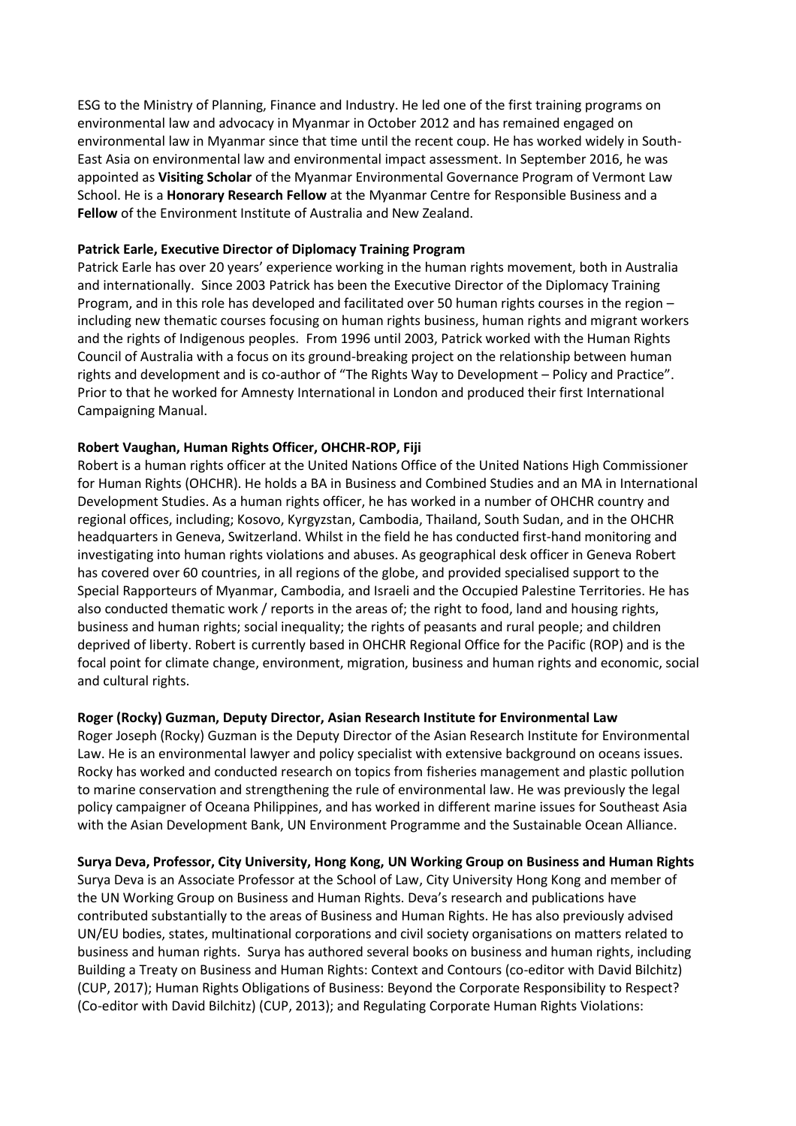ESG to the Ministry of Planning, Finance and Industry. He led one of the first training programs on environmental law and advocacy in Myanmar in October 2012 and has remained engaged on environmental law in Myanmar since that time until the recent coup. He has worked widely in South-East Asia on environmental law and environmental impact assessment. In September 2016, he was appointed as **Visiting Scholar** of the Myanmar Environmental Governance Program of Vermont Law School. He is a **Honorary Research Fellow** at the Myanmar Centre for Responsible Business and a **Fellow** of the Environment Institute of Australia and New Zealand.

#### **Patrick Earle, Executive Director of Diplomacy Training Program**

Patrick Earle has over 20 years' experience working in the human rights movement, both in Australia and internationally. Since 2003 Patrick has been the Executive Director of the Diplomacy Training Program, and in this role has developed and facilitated over 50 human rights courses in the region – including new thematic courses focusing on human rights business, human rights and migrant workers and the rights of Indigenous peoples. From 1996 until 2003, Patrick worked with the Human Rights Council of Australia with a focus on its ground-breaking project on the relationship between human rights and development and is co-author of "The Rights Way to Development – Policy and Practice". Prior to that he worked for Amnesty International in London and produced their first International Campaigning Manual.

#### **Robert Vaughan, Human Rights Officer, OHCHR-ROP, Fiji**

Robert is a human rights officer at the United Nations Office of the United Nations High Commissioner for Human Rights (OHCHR). He holds a BA in Business and Combined Studies and an MA in International Development Studies. As a human rights officer, he has worked in a number of OHCHR country and regional offices, including; Kosovo, Kyrgyzstan, Cambodia, Thailand, South Sudan, and in the OHCHR headquarters in Geneva, Switzerland. Whilst in the field he has conducted first-hand monitoring and investigating into human rights violations and abuses. As geographical desk officer in Geneva Robert has covered over 60 countries, in all regions of the globe, and provided specialised support to the Special Rapporteurs of Myanmar, Cambodia, and Israeli and the Occupied Palestine Territories. He has also conducted thematic work / reports in the areas of; the right to food, land and housing rights, business and human rights; social inequality; the rights of peasants and rural people; and children deprived of liberty. Robert is currently based in OHCHR Regional Office for the Pacific (ROP) and is the focal point for climate change, environment, migration, business and human rights and economic, social and cultural rights.

#### **Roger (Rocky) Guzman, Deputy Director, Asian Research Institute for Environmental Law**

Roger Joseph (Rocky) Guzman is the Deputy Director of the Asian Research Institute for Environmental Law. He is an environmental lawyer and policy specialist with extensive background on oceans issues. Rocky has worked and conducted research on topics from fisheries management and plastic pollution to marine conservation and strengthening the rule of environmental law. He was previously the legal policy campaigner of Oceana Philippines, and has worked in different marine issues for Southeast Asia with the Asian Development Bank, UN Environment Programme and the Sustainable Ocean Alliance.

#### **Surya Deva, Professor, City University, Hong Kong, UN Working Group on Business and Human Rights**

Surya Deva is an Associate Professor at the School of Law, City University Hong Kong and member of the UN Working Group on Business and Human Rights. Deva's research and publications have contributed substantially to the areas of Business and Human Rights. He has also previously advised UN/EU bodies, states, multinational corporations and civil society organisations on matters related to business and human rights. Surya has authored several books on business and human rights, including Building a Treaty on Business and Human Rights: Context and Contours (co-editor with David Bilchitz) (CUP, 2017); Human Rights Obligations of Business: Beyond the Corporate Responsibility to Respect? (Co-editor with David Bilchitz) (CUP, 2013); and Regulating Corporate Human Rights Violations: